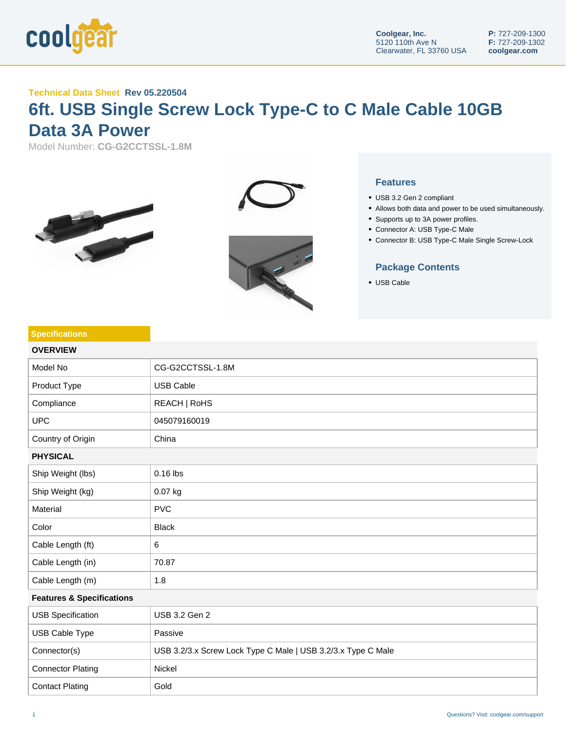

## **Technical Data Sheet Rev 05.220504**

## **6ft. USB Single Screw Lock Type-C to C Male Cable 10GB Data 3A Power**

Model Number: **CG-G2CCTSSL-1.8M**







## **Features**

- USB 3.2 Gen 2 compliant
- Allows both data and power to be used simultaneously.
- Supports up to 3A power profiles.
- Connector A: USB Type-C Male
- Connector B: USB Type-C Male Single Screw-Lock

## **Package Contents**

USB Cable

| <b>Specifications</b>                |                                                              |  |
|--------------------------------------|--------------------------------------------------------------|--|
| <b>OVERVIEW</b>                      |                                                              |  |
| Model No                             | CG-G2CCTSSL-1.8M                                             |  |
| Product Type                         | <b>USB Cable</b>                                             |  |
| Compliance                           | REACH   RoHS                                                 |  |
| <b>UPC</b>                           | 045079160019                                                 |  |
| Country of Origin                    | China                                                        |  |
| <b>PHYSICAL</b>                      |                                                              |  |
| Ship Weight (lbs)                    | $0.16$ lbs                                                   |  |
| Ship Weight (kg)                     | 0.07 kg                                                      |  |
| Material                             | <b>PVC</b>                                                   |  |
| Color                                | <b>Black</b>                                                 |  |
| Cable Length (ft)                    | 6                                                            |  |
| Cable Length (in)                    | 70.87                                                        |  |
| Cable Length (m)                     | 1.8                                                          |  |
| <b>Features &amp; Specifications</b> |                                                              |  |
| <b>USB Specification</b>             | USB 3.2 Gen 2                                                |  |
| USB Cable Type                       | Passive                                                      |  |
| Connector(s)                         | USB 3.2/3.x Screw Lock Type C Male   USB 3.2/3.x Type C Male |  |
| <b>Connector Plating</b>             | Nickel                                                       |  |
| <b>Contact Plating</b>               | Gold                                                         |  |